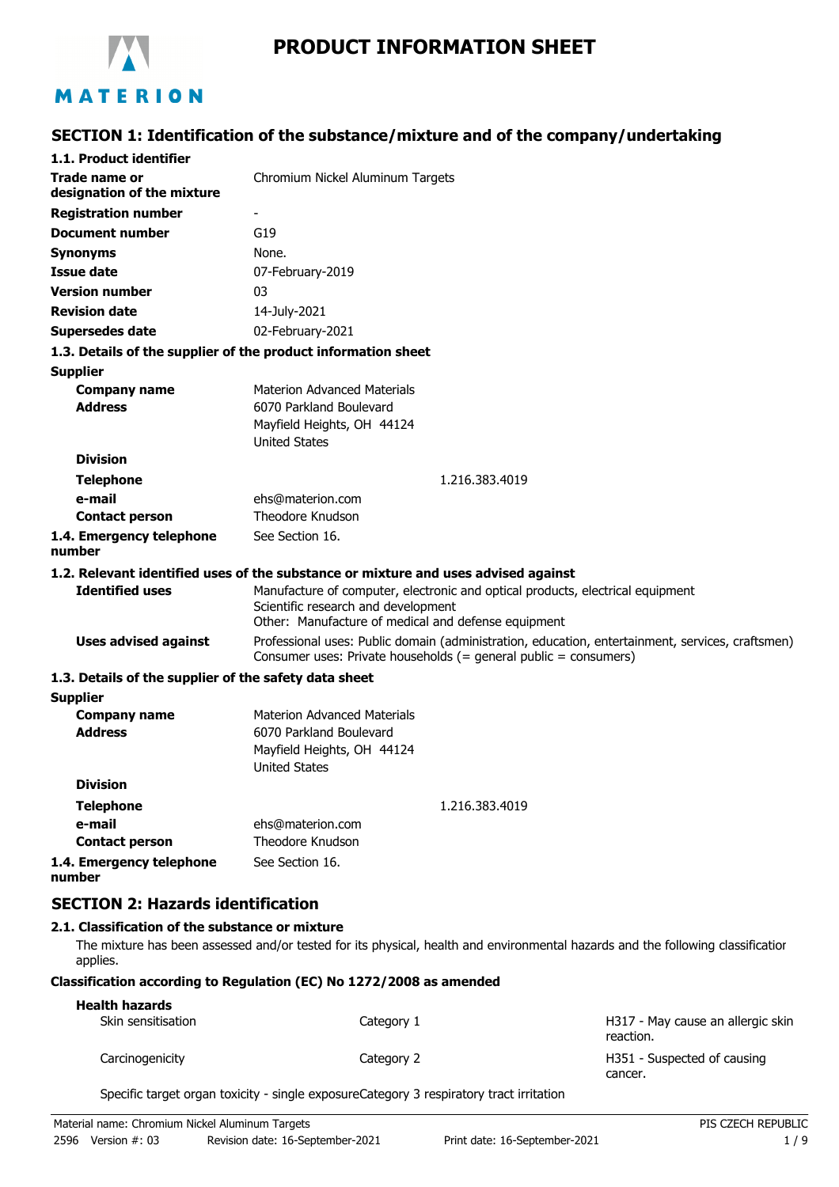

# **PRODUCT INFORMATION SHEET**

# **SECTION 1: Identification of the substance/mixture and of the company/undertaking**

| 1.1. Product identifier                               |                                                                                                                                                                      |
|-------------------------------------------------------|----------------------------------------------------------------------------------------------------------------------------------------------------------------------|
| Trade name or                                         | Chromium Nickel Aluminum Targets                                                                                                                                     |
| designation of the mixture                            |                                                                                                                                                                      |
| <b>Registration number</b>                            |                                                                                                                                                                      |
| <b>Document number</b>                                | G19                                                                                                                                                                  |
| <b>Synonyms</b>                                       | None.                                                                                                                                                                |
| <b>Issue date</b>                                     | 07-February-2019                                                                                                                                                     |
| <b>Version number</b>                                 | 03                                                                                                                                                                   |
| <b>Revision date</b>                                  | 14-July-2021                                                                                                                                                         |
| <b>Supersedes date</b>                                | 02-February-2021                                                                                                                                                     |
|                                                       | 1.3. Details of the supplier of the product information sheet                                                                                                        |
| <b>Supplier</b>                                       |                                                                                                                                                                      |
| <b>Company name</b>                                   | <b>Materion Advanced Materials</b>                                                                                                                                   |
| <b>Address</b>                                        | 6070 Parkland Boulevard                                                                                                                                              |
|                                                       | Mayfield Heights, OH 44124                                                                                                                                           |
|                                                       | <b>United States</b>                                                                                                                                                 |
| <b>Division</b>                                       |                                                                                                                                                                      |
| <b>Telephone</b>                                      | 1.216.383.4019                                                                                                                                                       |
| e-mail                                                | ehs@materion.com<br>Theodore Knudson                                                                                                                                 |
| <b>Contact person</b>                                 |                                                                                                                                                                      |
| 1.4. Emergency telephone<br>number                    | See Section 16.                                                                                                                                                      |
|                                                       | 1.2. Relevant identified uses of the substance or mixture and uses advised against                                                                                   |
| <b>Identified uses</b>                                | Manufacture of computer, electronic and optical products, electrical equipment                                                                                       |
|                                                       | Scientific research and development                                                                                                                                  |
|                                                       | Other: Manufacture of medical and defense equipment                                                                                                                  |
| <b>Uses advised against</b>                           | Professional uses: Public domain (administration, education, entertainment, services, craftsmen)<br>Consumer uses: Private households (= general public = consumers) |
| 1.3. Details of the supplier of the safety data sheet |                                                                                                                                                                      |
| <b>Supplier</b>                                       |                                                                                                                                                                      |
| <b>Company name</b>                                   | <b>Materion Advanced Materials</b>                                                                                                                                   |
| <b>Address</b>                                        | 6070 Parkland Boulevard                                                                                                                                              |
|                                                       | Mayfield Heights, OH 44124                                                                                                                                           |
|                                                       | <b>United States</b>                                                                                                                                                 |
| <b>Division</b>                                       |                                                                                                                                                                      |
| <b>Telephone</b>                                      | 1.216.383.4019                                                                                                                                                       |
| e-mail                                                | ehs@materion.com                                                                                                                                                     |
| <b>Contact person</b>                                 | Theodore Knudson                                                                                                                                                     |
| 1.4. Emergency telephone<br>number                    | See Section 16.                                                                                                                                                      |
| <b>SECTION 2: Hazards identification</b>              |                                                                                                                                                                      |

## **2.1. Classification of the substance or mixture**

The mixture has been assessed and/or tested for its physical, health and environmental hazards and the following classification applies.

#### **Classification according to Regulation (EC) No 1272/2008 as amended**

| <b>Health hazards</b> |            |                                                |
|-----------------------|------------|------------------------------------------------|
| Skin sensitisation    | Category 1 | H317 - May cause an allergic skin<br>reaction. |
| Carcinogenicity       | Category 2 | H351 - Suspected of causing<br>cancer.         |

Specific target organ toxicity - single exposureCategory 3 respiratory tract irritation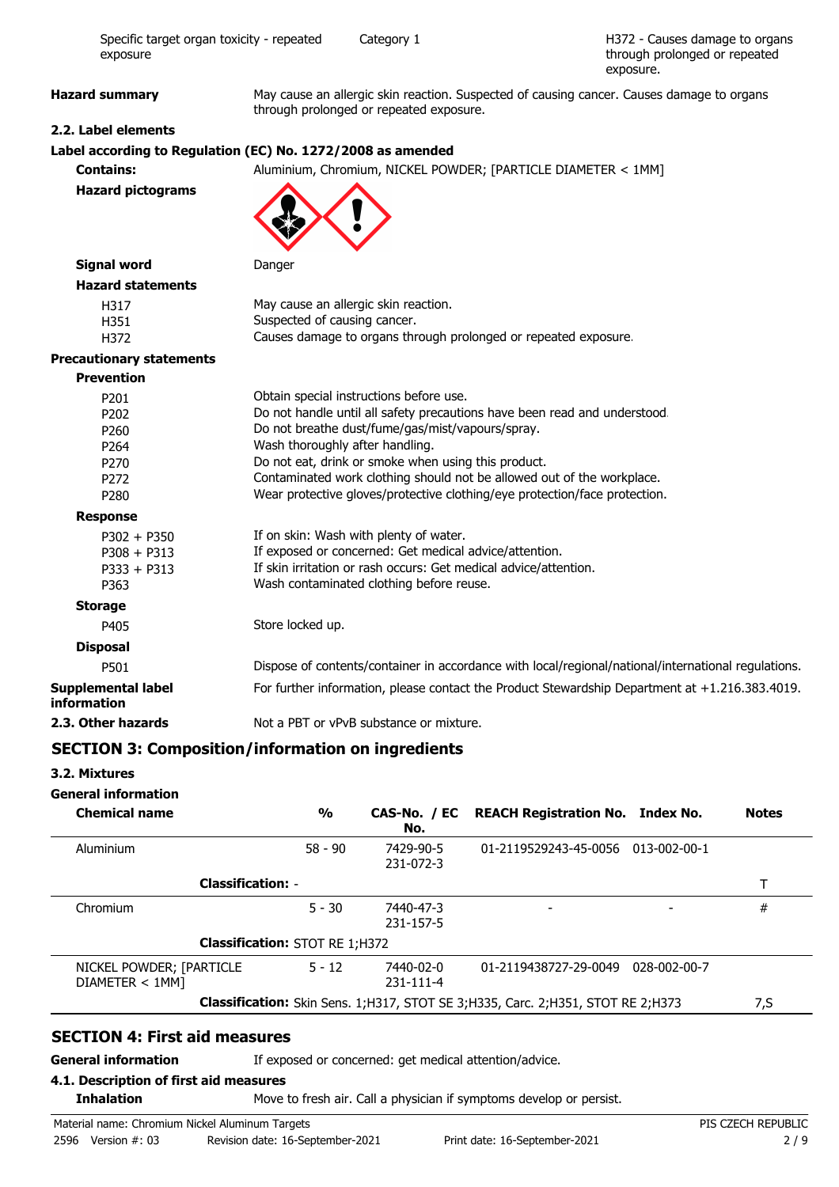H372 - Causes damage to organs through prolonged or repeated exposure.

**Hazard summary** May cause an allergic skin reaction. Suspected of causing cancer. Causes damage to organs through prolonged or repeated exposure.

# **2.2. Label elements**

# **Label according to Regulation (EC) No. 1272/2008 as amended**

**Contains:** Aluminium, Chromium, NICKEL POWDER; [PARTICLE DIAMETER < 1MM] **Hazard pictograms**



| Signal word |  |
|-------------|--|
|-------------|--|

**Danger** 

| H317 | May cause an allergic skin reaction.                            |
|------|-----------------------------------------------------------------|
| H351 | Suspected of causing cancer.                                    |
| H372 | Causes damage to organs through prolonged or repeated exposure. |

#### **Precautionary statements**

**Hazard statements**

| <b>Prevention</b>                 |                                                                                                     |
|-----------------------------------|-----------------------------------------------------------------------------------------------------|
| P201                              | Obtain special instructions before use.                                                             |
| P <sub>202</sub>                  | Do not handle until all safety precautions have been read and understood.                           |
| P <sub>260</sub>                  | Do not breathe dust/fume/gas/mist/vapours/spray.                                                    |
| P <sub>264</sub>                  | Wash thoroughly after handling.                                                                     |
| P <sub>270</sub>                  | Do not eat, drink or smoke when using this product.                                                 |
| P <sub>272</sub>                  | Contaminated work clothing should not be allowed out of the workplace.                              |
| P <sub>280</sub>                  | Wear protective gloves/protective clothing/eye protection/face protection.                          |
| <b>Response</b>                   |                                                                                                     |
| $P302 + P350$                     | If on skin: Wash with plenty of water.                                                              |
| $P308 + P313$                     | If exposed or concerned: Get medical advice/attention.                                              |
| $P333 + P313$                     | If skin irritation or rash occurs: Get medical advice/attention.                                    |
| P363                              | Wash contaminated clothing before reuse.                                                            |
| <b>Storage</b>                    |                                                                                                     |
| P405                              | Store locked up.                                                                                    |
| <b>Disposal</b>                   |                                                                                                     |
| P501                              | Dispose of contents/container in accordance with local/regional/national/international regulations. |
| Supplemental label<br>information | For further information, please contact the Product Stewardship Department at $+1.216.383.4019$ .   |
| 2.3. Other hazards                | Not a PBT or yPvB substance or mixture.                                                             |

# **SECTION 3: Composition/information on ingredients**

### **3.2. Mixtures**

### **General information**

| <b>Chemical name</b>                       | $\frac{0}{0}$                         | No.                          | CAS-No. / EC REACH Registration No. Index No.                                          |              | <b>Notes</b> |
|--------------------------------------------|---------------------------------------|------------------------------|----------------------------------------------------------------------------------------|--------------|--------------|
| Aluminium                                  | $58 - 90$                             | 7429-90-5<br>231-072-3       | 01-2119529243-45-0056                                                                  | 013-002-00-1 |              |
| <b>Classification: -</b>                   |                                       |                              |                                                                                        |              |              |
| Chromium                                   | $5 - 30$                              | 7440-47-3<br>231-157-5       |                                                                                        |              | #            |
|                                            | <b>Classification: STOT RE 1;H372</b> |                              |                                                                                        |              |              |
| NICKEL POWDER; [PARTICLE<br>DIAMETER < 1MM | $5 - 12$                              | 7440-02-0<br>$231 - 111 - 4$ | 01-2119438727-29-0049                                                                  | 028-002-00-7 |              |
|                                            |                                       |                              | <b>Classification:</b> Skin Sens. 1;H317, STOT SE 3;H335, Carc. 2;H351, STOT RE 2;H373 |              | 7,S          |

# **SECTION 4: First aid measures**

**General information** If exposed or concerned: get medical attention/advice.

#### **4.1. Description of first aid measures**

**Inhalation** Move to fresh air. Call a physician if symptoms develop or persist.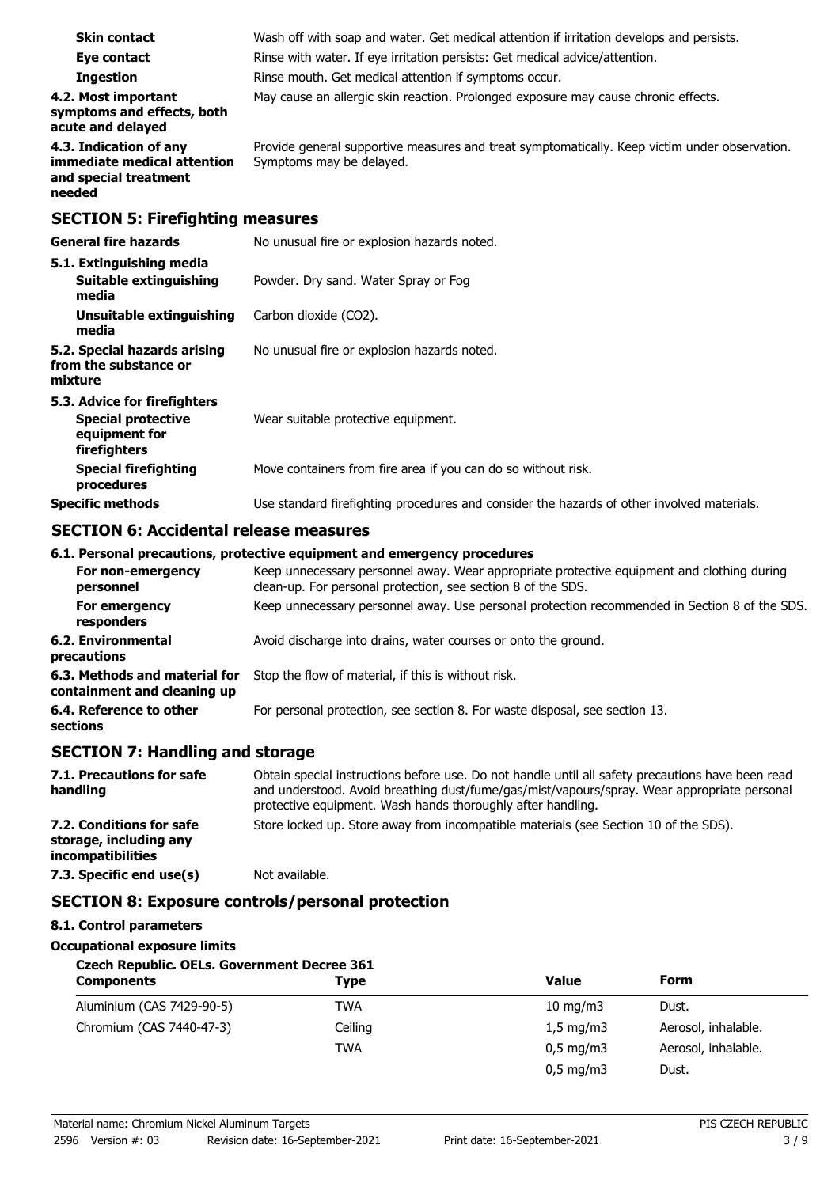| <b>Skin contact</b>                                                                        | Wash off with soap and water. Get medical attention if irritation develops and persists.                                  |  |  |  |
|--------------------------------------------------------------------------------------------|---------------------------------------------------------------------------------------------------------------------------|--|--|--|
| Eye contact                                                                                | Rinse with water. If eye irritation persists: Get medical advice/attention.                                               |  |  |  |
| <b>Ingestion</b>                                                                           | Rinse mouth. Get medical attention if symptoms occur.                                                                     |  |  |  |
| 4.2. Most important<br>symptoms and effects, both<br>acute and delayed                     | May cause an allergic skin reaction. Prolonged exposure may cause chronic effects.                                        |  |  |  |
| 4.3. Indication of any<br>immediate medical attention<br>and special treatment<br>needed   | Provide general supportive measures and treat symptomatically. Keep victim under observation.<br>Symptoms may be delayed. |  |  |  |
| <b>SECTION 5: Firefighting measures</b>                                                    |                                                                                                                           |  |  |  |
| <b>General fire hazards</b>                                                                | No unusual fire or explosion hazards noted.                                                                               |  |  |  |
| 5.1. Extinguishing media<br>Suitable extinguishing<br>media                                | Powder. Dry sand. Water Spray or Fog                                                                                      |  |  |  |
| Unsuitable extinguishing<br>media                                                          | Carbon dioxide (CO2).                                                                                                     |  |  |  |
| 5.2. Special hazards arising<br>from the substance or<br>mixture                           | No unusual fire or explosion hazards noted.                                                                               |  |  |  |
| 5.3. Advice for firefighters<br><b>Special protective</b><br>equipment for<br>firefighters | Wear suitable protective equipment.                                                                                       |  |  |  |
| <b>Special firefighting</b><br>procedures                                                  | Move containers from fire area if you can do so without risk.                                                             |  |  |  |
| <b>Specific methods</b>                                                                    | Use standard firefighting procedures and consider the hazards of other involved materials.                                |  |  |  |

## **SECTION 6: Accidental release measures**

### **6.1. Personal precautions, protective equipment and emergency procedures**

| Keep unnecessary personnel away. Wear appropriate protective equipment and clothing during<br>clean-up. For personal protection, see section 8 of the SDS. |
|------------------------------------------------------------------------------------------------------------------------------------------------------------|
| Keep unnecessary personnel away. Use personal protection recommended in Section 8 of the SDS.                                                              |
| Avoid discharge into drains, water courses or onto the ground.                                                                                             |
| Stop the flow of material, if this is without risk.                                                                                                        |
| For personal protection, see section 8. For waste disposal, see section 13.                                                                                |
|                                                                                                                                                            |

# **SECTION 7: Handling and storage**

| 7.1. Precautions for safe<br>handling                                          | Obtain special instructions before use. Do not handle until all safety precautions have been read<br>and understood. Avoid breathing dust/fume/gas/mist/vapours/spray. Wear appropriate personal<br>protective equipment. Wash hands thoroughly after handling. |
|--------------------------------------------------------------------------------|-----------------------------------------------------------------------------------------------------------------------------------------------------------------------------------------------------------------------------------------------------------------|
| 7.2. Conditions for safe<br>storage, including any<br><i>incompatibilities</i> | Store locked up. Store away from incompatible materials (see Section 10 of the SDS).                                                                                                                                                                            |
| 7.3. Specific end use(s)                                                       | Not available.                                                                                                                                                                                                                                                  |

# **SECTION 8: Exposure controls/personal protection**

# **8.1. Control parameters**

## **Occupational exposure limits**

| <b>Czech Republic. OELs. Government Decree 361</b> |             |                        |                     |  |
|----------------------------------------------------|-------------|------------------------|---------------------|--|
| <b>Components</b>                                  | <b>Type</b> | Value                  | <b>Form</b>         |  |
| Aluminium (CAS 7429-90-5)                          | TWA         | 10 mg/m $3$            | Dust.               |  |
| Chromium (CAS 7440-47-3)                           | Ceiling     | $1,5 \text{ mg/m}$     | Aerosol, inhalable. |  |
|                                                    | <b>TWA</b>  | $0,5 \,\mathrm{mg/m3}$ | Aerosol, inhalable. |  |
|                                                    |             | $0,5 \,\mathrm{mg/m3}$ | Dust.               |  |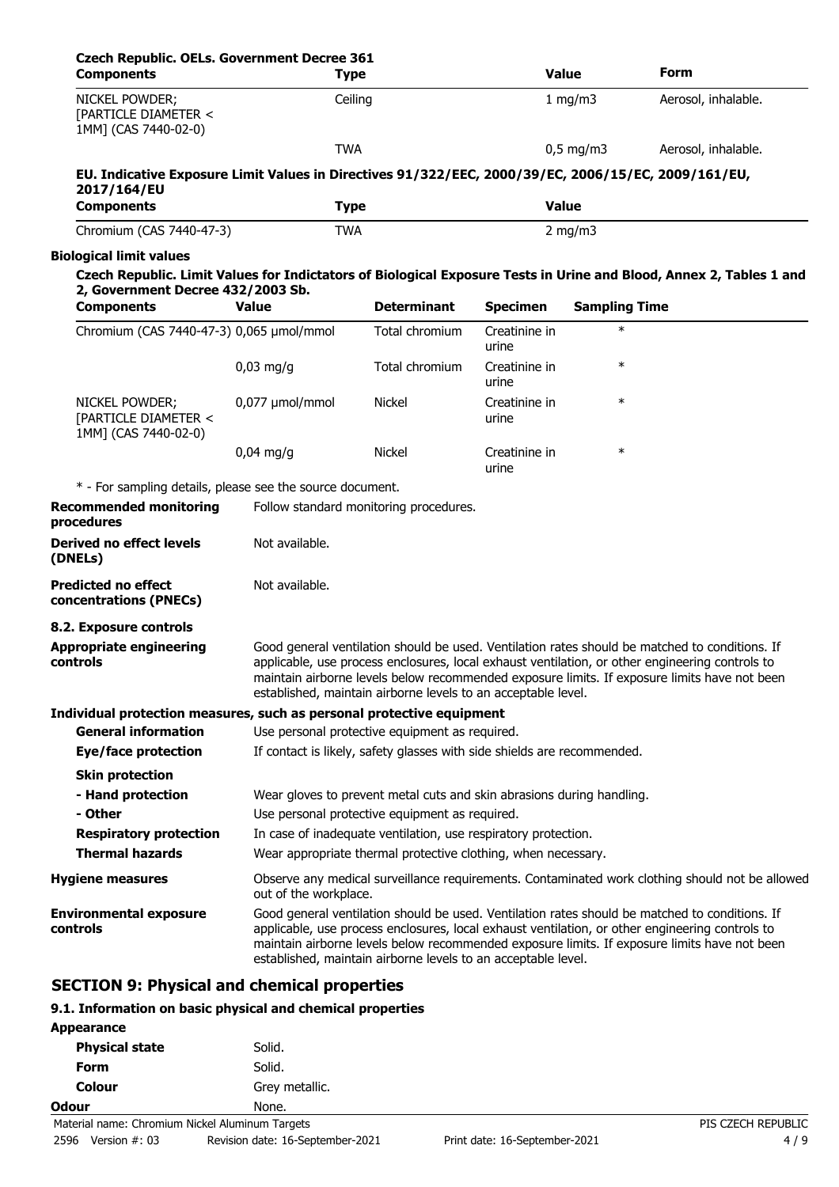| <b>Czech Republic. OELs. Government Decree 361</b><br><b>Components</b>                             | <b>Type</b>                                                                                                                                                                                                                                                                                                                                                        |                                                                                                                         |                        | <b>Value</b>         | Form                                                                                                                                                                                                                                                                                              |
|-----------------------------------------------------------------------------------------------------|--------------------------------------------------------------------------------------------------------------------------------------------------------------------------------------------------------------------------------------------------------------------------------------------------------------------------------------------------------------------|-------------------------------------------------------------------------------------------------------------------------|------------------------|----------------------|---------------------------------------------------------------------------------------------------------------------------------------------------------------------------------------------------------------------------------------------------------------------------------------------------|
| NICKEL POWDER;<br>[PARTICLE DIAMETER <<br>1MM] (CAS 7440-02-0)                                      |                                                                                                                                                                                                                                                                                                                                                                    | Ceiling                                                                                                                 |                        | 1 mg/m3              | Aerosol, inhalable.                                                                                                                                                                                                                                                                               |
|                                                                                                     | <b>TWA</b>                                                                                                                                                                                                                                                                                                                                                         |                                                                                                                         |                        | $0,5$ mg/m3          | Aerosol, inhalable.                                                                                                                                                                                                                                                                               |
| EU. Indicative Exposure Limit Values in Directives 91/322/EEC, 2000/39/EC, 2006/15/EC, 2009/161/EU, |                                                                                                                                                                                                                                                                                                                                                                    |                                                                                                                         |                        |                      |                                                                                                                                                                                                                                                                                                   |
| 2017/164/EU                                                                                         |                                                                                                                                                                                                                                                                                                                                                                    |                                                                                                                         |                        |                      |                                                                                                                                                                                                                                                                                                   |
| <b>Components</b>                                                                                   | <b>Type</b>                                                                                                                                                                                                                                                                                                                                                        |                                                                                                                         | <b>Value</b>           |                      |                                                                                                                                                                                                                                                                                                   |
| Chromium (CAS 7440-47-3)                                                                            | <b>TWA</b>                                                                                                                                                                                                                                                                                                                                                         |                                                                                                                         |                        | $2$ mg/m $3$         |                                                                                                                                                                                                                                                                                                   |
| <b>Biological limit values</b>                                                                      |                                                                                                                                                                                                                                                                                                                                                                    |                                                                                                                         |                        |                      |                                                                                                                                                                                                                                                                                                   |
| 2, Government Decree 432/2003 Sb.                                                                   |                                                                                                                                                                                                                                                                                                                                                                    |                                                                                                                         |                        |                      | Czech Republic. Limit Values for Indictators of Biological Exposure Tests in Urine and Blood, Annex 2, Tables 1 and                                                                                                                                                                               |
| <b>Components</b>                                                                                   | <b>Value</b>                                                                                                                                                                                                                                                                                                                                                       | <b>Determinant</b>                                                                                                      | <b>Specimen</b>        | <b>Sampling Time</b> |                                                                                                                                                                                                                                                                                                   |
| Chromium (CAS 7440-47-3) 0,065 µmol/mmol                                                            |                                                                                                                                                                                                                                                                                                                                                                    | Total chromium                                                                                                          | Creatinine in<br>urine | $\ast$               |                                                                                                                                                                                                                                                                                                   |
|                                                                                                     | $0,03$ mg/g                                                                                                                                                                                                                                                                                                                                                        | Total chromium                                                                                                          | Creatinine in<br>urine | $\ast$               |                                                                                                                                                                                                                                                                                                   |
| NICKEL POWDER;<br>[PARTICLE DIAMETER <<br>1MM] (CAS 7440-02-0)                                      | 0,077 µmol/mmol                                                                                                                                                                                                                                                                                                                                                    | <b>Nickel</b>                                                                                                           | Creatinine in<br>urine | $\ast$               |                                                                                                                                                                                                                                                                                                   |
|                                                                                                     | $0,04 \text{ mg/q}$                                                                                                                                                                                                                                                                                                                                                | <b>Nickel</b>                                                                                                           | Creatinine in<br>urine | $\ast$               |                                                                                                                                                                                                                                                                                                   |
| * - For sampling details, please see the source document.                                           |                                                                                                                                                                                                                                                                                                                                                                    |                                                                                                                         |                        |                      |                                                                                                                                                                                                                                                                                                   |
| <b>Recommended monitoring</b><br>procedures                                                         |                                                                                                                                                                                                                                                                                                                                                                    | Follow standard monitoring procedures.                                                                                  |                        |                      |                                                                                                                                                                                                                                                                                                   |
| Derived no effect levels<br>(DNELs)                                                                 | Not available.                                                                                                                                                                                                                                                                                                                                                     |                                                                                                                         |                        |                      |                                                                                                                                                                                                                                                                                                   |
| <b>Predicted no effect</b><br>concentrations (PNECs)                                                | Not available.                                                                                                                                                                                                                                                                                                                                                     |                                                                                                                         |                        |                      |                                                                                                                                                                                                                                                                                                   |
| 8.2. Exposure controls                                                                              |                                                                                                                                                                                                                                                                                                                                                                    |                                                                                                                         |                        |                      |                                                                                                                                                                                                                                                                                                   |
| <b>Appropriate engineering</b><br>controls                                                          |                                                                                                                                                                                                                                                                                                                                                                    | established, maintain airborne levels to an acceptable level.                                                           |                        |                      | Good general ventilation should be used. Ventilation rates should be matched to conditions. If<br>applicable, use process enclosures, local exhaust ventilation, or other engineering controls to<br>maintain airborne levels below recommended exposure limits. If exposure limits have not been |
| Individual protection measures, such as personal protective equipment<br><b>General information</b> |                                                                                                                                                                                                                                                                                                                                                                    | Use personal protective equipment as required.                                                                          |                        |                      |                                                                                                                                                                                                                                                                                                   |
| <b>Eye/face protection</b>                                                                          |                                                                                                                                                                                                                                                                                                                                                                    | If contact is likely, safety glasses with side shields are recommended.                                                 |                        |                      |                                                                                                                                                                                                                                                                                                   |
| <b>Skin protection</b>                                                                              |                                                                                                                                                                                                                                                                                                                                                                    |                                                                                                                         |                        |                      |                                                                                                                                                                                                                                                                                                   |
| - Hand protection                                                                                   |                                                                                                                                                                                                                                                                                                                                                                    |                                                                                                                         |                        |                      |                                                                                                                                                                                                                                                                                                   |
| - Other                                                                                             |                                                                                                                                                                                                                                                                                                                                                                    | Wear gloves to prevent metal cuts and skin abrasions during handling.<br>Use personal protective equipment as required. |                        |                      |                                                                                                                                                                                                                                                                                                   |
| <b>Respiratory protection</b>                                                                       |                                                                                                                                                                                                                                                                                                                                                                    | In case of inadequate ventilation, use respiratory protection.                                                          |                        |                      |                                                                                                                                                                                                                                                                                                   |
| <b>Thermal hazards</b>                                                                              |                                                                                                                                                                                                                                                                                                                                                                    | Wear appropriate thermal protective clothing, when necessary.                                                           |                        |                      |                                                                                                                                                                                                                                                                                                   |
| <b>Hygiene measures</b>                                                                             | out of the workplace.                                                                                                                                                                                                                                                                                                                                              |                                                                                                                         |                        |                      | Observe any medical surveillance requirements. Contaminated work clothing should not be allowed                                                                                                                                                                                                   |
| <b>Environmental exposure</b><br>controls                                                           | Good general ventilation should be used. Ventilation rates should be matched to conditions. If<br>applicable, use process enclosures, local exhaust ventilation, or other engineering controls to<br>maintain airborne levels below recommended exposure limits. If exposure limits have not been<br>established, maintain airborne levels to an acceptable level. |                                                                                                                         |                        |                      |                                                                                                                                                                                                                                                                                                   |

# **SECTION 9: Physical and chemical properties**

# **9.1. Information on basic physical and chemical properties**

| Solid.         |                                                 |
|----------------|-------------------------------------------------|
| Solid.         |                                                 |
| Grey metallic. |                                                 |
| None.          |                                                 |
|                | PIS CZECH REPUBLIC                              |
|                | Material name: Chromium Nickel Aluminum Targets |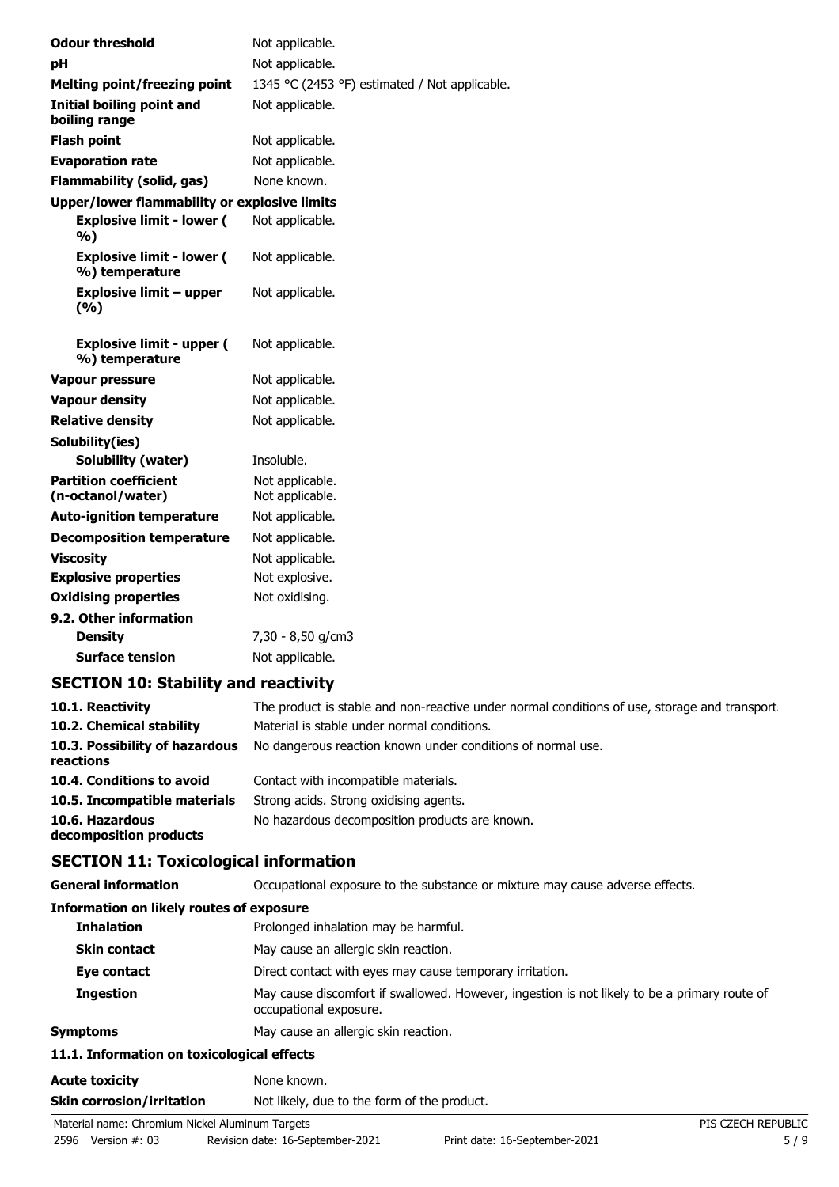| <b>Odour threshold</b>                              | Not applicable.                               |
|-----------------------------------------------------|-----------------------------------------------|
| pH                                                  | Not applicable.                               |
| <b>Melting point/freezing point</b>                 | 1345 °C (2453 °F) estimated / Not applicable. |
| Initial boiling point and<br>boiling range          | Not applicable.                               |
| <b>Flash point</b>                                  | Not applicable.                               |
| <b>Evaporation rate</b>                             | Not applicable.                               |
| <b>Flammability (solid, gas)</b>                    | None known.                                   |
| <b>Upper/lower flammability or explosive limits</b> |                                               |
| <b>Explosive limit - lower (</b><br>%)              | Not applicable.                               |
| <b>Explosive limit - lower (</b><br>%) temperature  | Not applicable.                               |
| <b>Explosive limit - upper</b><br>(%)               | Not applicable.                               |
| <b>Explosive limit - upper (</b><br>%) temperature  | Not applicable.                               |
| <b>Vapour pressure</b>                              | Not applicable.                               |
| <b>Vapour density</b>                               | Not applicable.                               |
| <b>Relative density</b>                             | Not applicable.                               |
| Solubility(ies)                                     |                                               |
| <b>Solubility (water)</b>                           | Insoluble.                                    |
| <b>Partition coefficient</b><br>(n-octanol/water)   | Not applicable.<br>Not applicable.            |
| <b>Auto-ignition temperature</b>                    | Not applicable.                               |
| <b>Decomposition temperature</b>                    | Not applicable.                               |
| <b>Viscosity</b>                                    | Not applicable.                               |
| <b>Explosive properties</b>                         | Not explosive.                                |
| <b>Oxidising properties</b>                         | Not oxidising.                                |
| 9.2. Other information                              |                                               |
| <b>Density</b>                                      | 7,30 - 8,50 g/cm3                             |
| <b>Surface tension</b>                              | Not applicable.                               |

# **SECTION 10: Stability and reactivity**

| 10.1. Reactivity                            | The product is stable and non-reactive under normal conditions of use, storage and transport. |
|---------------------------------------------|-----------------------------------------------------------------------------------------------|
| 10.2. Chemical stability                    | Material is stable under normal conditions.                                                   |
| 10.3. Possibility of hazardous<br>reactions | No dangerous reaction known under conditions of normal use.                                   |
| 10.4. Conditions to avoid                   | Contact with incompatible materials.                                                          |
| 10.5. Incompatible materials                | Strong acids. Strong oxidising agents.                                                        |
| 10.6. Hazardous<br>decomposition products   | No hazardous decomposition products are known.                                                |

# **SECTION 11: Toxicological information**

**General information CCCUPATION** Occupational exposure to the substance or mixture may cause adverse effects.

#### **Information on likely routes of exposure**

| Prolonged inhalation may be harmful.                                                                                   |  |  |
|------------------------------------------------------------------------------------------------------------------------|--|--|
| May cause an allergic skin reaction.                                                                                   |  |  |
| Direct contact with eyes may cause temporary irritation.                                                               |  |  |
| May cause discomfort if swallowed. However, ingestion is not likely to be a primary route of<br>occupational exposure. |  |  |
| May cause an allergic skin reaction.                                                                                   |  |  |
| 11.1. Information on toxicological effects                                                                             |  |  |
| None known.                                                                                                            |  |  |
|                                                                                                                        |  |  |

#### **Skin corrosion/irritation** Not likely, due to the form of the product.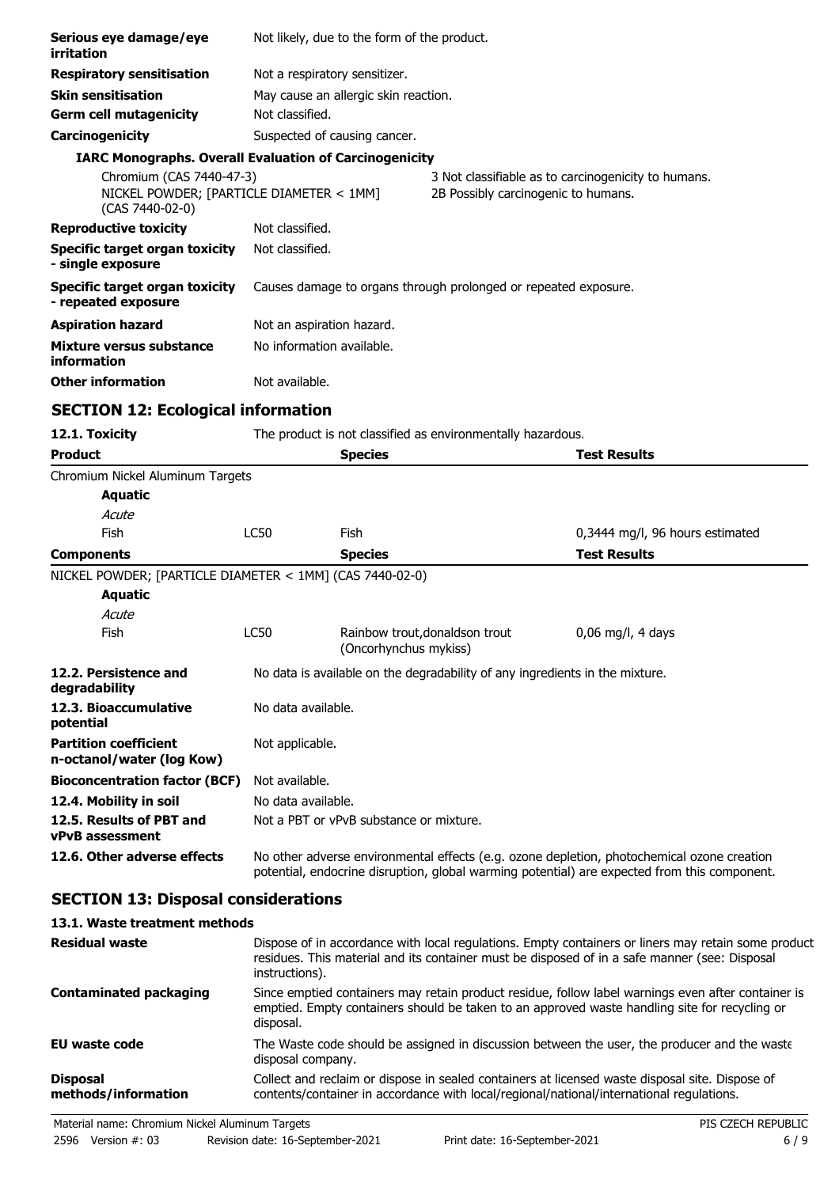| Serious eye damage/eye<br>irritation                                                    |                               | Not likely, due to the form of the product.                     |                                                                                            |                                                                                                                                                                                            |
|-----------------------------------------------------------------------------------------|-------------------------------|-----------------------------------------------------------------|--------------------------------------------------------------------------------------------|--------------------------------------------------------------------------------------------------------------------------------------------------------------------------------------------|
| <b>Respiratory sensitisation</b>                                                        | Not a respiratory sensitizer. |                                                                 |                                                                                            |                                                                                                                                                                                            |
| <b>Skin sensitisation</b>                                                               |                               | May cause an allergic skin reaction.                            |                                                                                            |                                                                                                                                                                                            |
| <b>Germ cell mutagenicity</b>                                                           | Not classified.               |                                                                 |                                                                                            |                                                                                                                                                                                            |
| Carcinogenicity                                                                         | Suspected of causing cancer.  |                                                                 |                                                                                            |                                                                                                                                                                                            |
| <b>IARC Monographs. Overall Evaluation of Carcinogenicity</b>                           |                               |                                                                 |                                                                                            |                                                                                                                                                                                            |
| Chromium (CAS 7440-47-3)<br>NICKEL POWDER; [PARTICLE DIAMETER < 1MM]<br>(CAS 7440-02-0) |                               |                                                                 | 3 Not classifiable as to carcinogenicity to humans.<br>2B Possibly carcinogenic to humans. |                                                                                                                                                                                            |
| <b>Reproductive toxicity</b>                                                            | Not classified.               |                                                                 |                                                                                            |                                                                                                                                                                                            |
| <b>Specific target organ toxicity</b><br>- single exposure                              | Not classified.               |                                                                 |                                                                                            |                                                                                                                                                                                            |
| <b>Specific target organ toxicity</b><br>- repeated exposure                            |                               | Causes damage to organs through prolonged or repeated exposure. |                                                                                            |                                                                                                                                                                                            |
| <b>Aspiration hazard</b>                                                                | Not an aspiration hazard.     |                                                                 |                                                                                            |                                                                                                                                                                                            |
| Mixture versus substance<br>information                                                 | No information available.     |                                                                 |                                                                                            |                                                                                                                                                                                            |
| <b>Other information</b>                                                                | Not available.                |                                                                 |                                                                                            |                                                                                                                                                                                            |
| <b>SECTION 12: Ecological information</b>                                               |                               |                                                                 |                                                                                            |                                                                                                                                                                                            |
| 12.1. Toxicity                                                                          |                               |                                                                 | The product is not classified as environmentally hazardous.                                |                                                                                                                                                                                            |
| <b>Product</b>                                                                          |                               | <b>Species</b>                                                  |                                                                                            | <b>Test Results</b>                                                                                                                                                                        |
| Chromium Nickel Aluminum Targets                                                        |                               |                                                                 |                                                                                            |                                                                                                                                                                                            |
| <b>Aquatic</b>                                                                          |                               |                                                                 |                                                                                            |                                                                                                                                                                                            |
| Acute                                                                                   |                               |                                                                 |                                                                                            |                                                                                                                                                                                            |
| Fish                                                                                    | <b>LC50</b>                   | Fish                                                            |                                                                                            | 0,3444 mg/l, 96 hours estimated                                                                                                                                                            |
| <b>Components</b>                                                                       |                               | <b>Species</b>                                                  |                                                                                            | <b>Test Results</b>                                                                                                                                                                        |
| NICKEL POWDER; [PARTICLE DIAMETER < 1MM] (CAS 7440-02-0)                                |                               |                                                                 |                                                                                            |                                                                                                                                                                                            |
| <b>Aquatic</b>                                                                          |                               |                                                                 |                                                                                            |                                                                                                                                                                                            |
| Acute                                                                                   | <b>LC50</b>                   | Rainbow trout, donaldson trout                                  |                                                                                            |                                                                                                                                                                                            |
| Fish                                                                                    |                               | (Oncorhynchus mykiss)                                           |                                                                                            | $0.06$ mg/l, 4 days                                                                                                                                                                        |
| 12.2. Persistence and<br>degradability                                                  |                               |                                                                 | No data is available on the degradability of any ingredients in the mixture.               |                                                                                                                                                                                            |
| 12.3. Bioaccumulative<br>potential                                                      | No data available.            |                                                                 |                                                                                            |                                                                                                                                                                                            |
| <b>Partition coefficient</b><br>n-octanol/water (log Kow)                               | Not applicable.               |                                                                 |                                                                                            |                                                                                                                                                                                            |
| <b>Bioconcentration factor (BCF)</b>                                                    | Not available.                |                                                                 |                                                                                            |                                                                                                                                                                                            |
| 12.4. Mobility in soil                                                                  |                               | No data available.                                              |                                                                                            |                                                                                                                                                                                            |
| 12.5. Results of PBT and<br><b>vPvB</b> assessment                                      |                               | Not a PBT or vPvB substance or mixture.                         |                                                                                            |                                                                                                                                                                                            |
| 12.6. Other adverse effects                                                             |                               |                                                                 |                                                                                            | No other adverse environmental effects (e.g. ozone depletion, photochemical ozone creation<br>potential, endocrine disruption, global warming potential) are expected from this component. |
| <b>SECTION 13: Disposal considerations</b>                                              |                               |                                                                 |                                                                                            |                                                                                                                                                                                            |
| 13.1. Waste treatment methods                                                           |                               |                                                                 |                                                                                            |                                                                                                                                                                                            |
|                                                                                         |                               |                                                                 |                                                                                            | Dianges of in percyclopes with local veculations. Empty containers or linear may ret                                                                                                       |

| <b>Residual waste</b>                  | Dispose of in accordance with local regulations. Empty containers or liners may retain some product<br>residues. This material and its container must be disposed of in a safe manner (see: Disposal<br>instructions). |
|----------------------------------------|------------------------------------------------------------------------------------------------------------------------------------------------------------------------------------------------------------------------|
| <b>Contaminated packaging</b>          | Since emptied containers may retain product residue, follow label warnings even after container is<br>emptied. Empty containers should be taken to an approved waste handling site for recycling or<br>disposal.       |
| EU waste code                          | The Waste code should be assigned in discussion between the user, the producer and the waste<br>disposal company.                                                                                                      |
| <b>Disposal</b><br>methods/information | Collect and reclaim or dispose in sealed containers at licensed waste disposal site. Dispose of<br>contents/container in accordance with local/regional/national/international regulations.                            |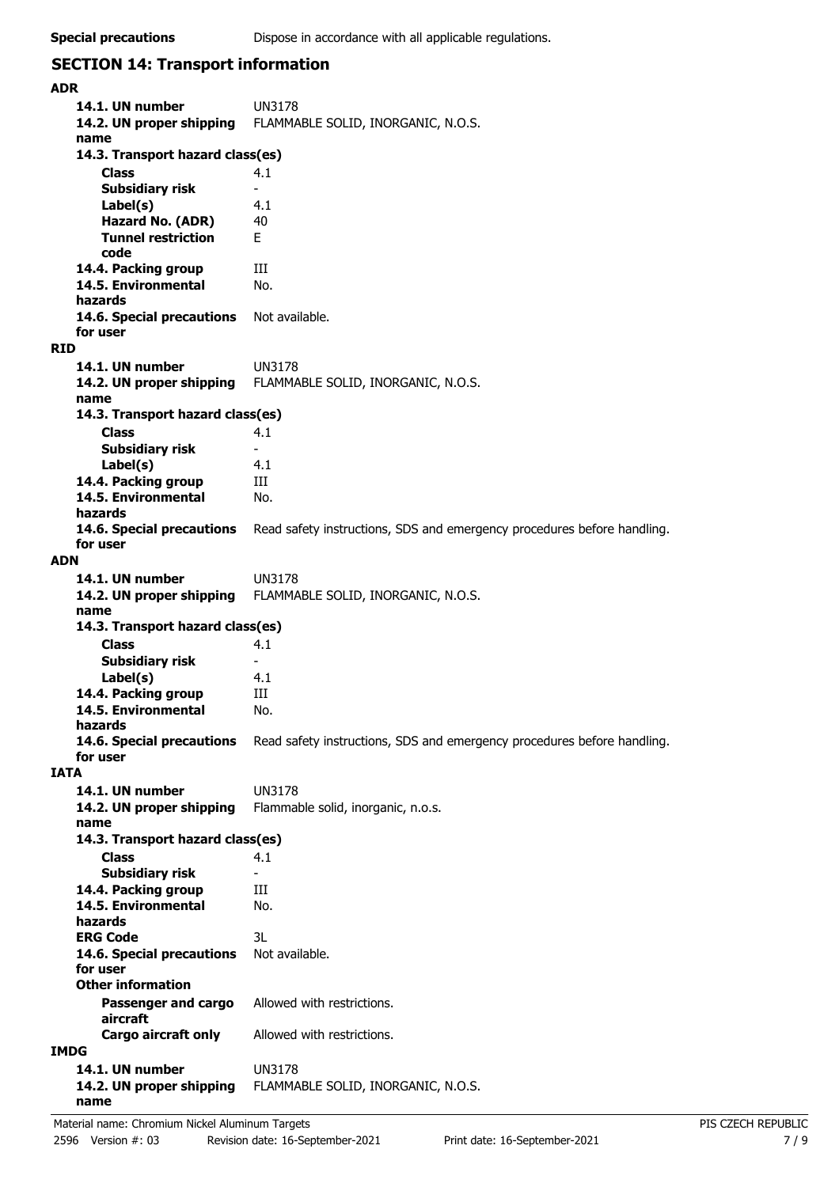# **SECTION 14: Transport information**

| ADR         |                                               |                                                                         |  |
|-------------|-----------------------------------------------|-------------------------------------------------------------------------|--|
|             | 14.1. UN number<br>14.2. UN proper shipping   | <b>UN3178</b><br>FLAMMABLE SOLID, INORGANIC, N.O.S.                     |  |
|             | name                                          |                                                                         |  |
|             | 14.3. Transport hazard class(es)              |                                                                         |  |
|             | Class<br><b>Subsidiary risk</b>               | 4.1<br>$\overline{\phantom{0}}$                                         |  |
|             | Label(s)                                      | 4.1                                                                     |  |
|             | Hazard No. (ADR)                              | 40                                                                      |  |
|             | <b>Tunnel restriction</b>                     | F.                                                                      |  |
|             | code                                          |                                                                         |  |
|             | 14.4. Packing group                           | Ш                                                                       |  |
|             | 14.5. Environmental                           | No.                                                                     |  |
|             | hazards                                       |                                                                         |  |
|             | 14.6. Special precautions                     | Not available.                                                          |  |
|             | for user                                      |                                                                         |  |
| RID         |                                               |                                                                         |  |
|             | 14.1. UN number                               | <b>UN3178</b>                                                           |  |
|             | 14.2. UN proper shipping                      | FLAMMABLE SOLID, INORGANIC, N.O.S.                                      |  |
|             | name                                          |                                                                         |  |
|             | 14.3. Transport hazard class(es)              |                                                                         |  |
|             | <b>Class</b>                                  | 4.1<br>$\overline{\phantom{a}}$                                         |  |
|             | <b>Subsidiary risk</b><br>Label(s)            | 4.1                                                                     |  |
|             | 14.4. Packing group                           | Ш                                                                       |  |
|             | 14.5. Environmental                           | No.                                                                     |  |
|             | hazards                                       |                                                                         |  |
|             | 14.6. Special precautions                     | Read safety instructions, SDS and emergency procedures before handling. |  |
|             | for user                                      |                                                                         |  |
| ADN         |                                               |                                                                         |  |
|             | 14.1. UN number                               | UN3178                                                                  |  |
|             | 14.2. UN proper shipping                      | FLAMMABLE SOLID, INORGANIC, N.O.S.                                      |  |
|             | name                                          |                                                                         |  |
|             | 14.3. Transport hazard class(es)              |                                                                         |  |
|             | Class                                         | 4.1                                                                     |  |
|             | <b>Subsidiary risk</b>                        |                                                                         |  |
|             | Label(s)                                      | 4.1<br>Ш                                                                |  |
|             | 14.4. Packing group<br>14.5. Environmental    | No.                                                                     |  |
|             | hazards                                       |                                                                         |  |
|             | 14.6. Special precautions                     | Read safety instructions, SDS and emergency procedures before handling. |  |
|             | for user                                      |                                                                         |  |
| <b>IATA</b> |                                               |                                                                         |  |
|             | 14.1. UN number                               | <b>UN3178</b>                                                           |  |
|             | 14.2. UN proper shipping                      | Flammable solid, inorganic, n.o.s.                                      |  |
|             | name                                          |                                                                         |  |
|             | 14.3. Transport hazard class(es)              |                                                                         |  |
|             | <b>Class</b>                                  | 4.1                                                                     |  |
|             | <b>Subsidiary risk</b><br>14.4. Packing group | $\overline{\phantom{a}}$<br>Ш                                           |  |
|             | 14.5. Environmental                           | No.                                                                     |  |
|             | hazards                                       |                                                                         |  |
|             | <b>ERG Code</b>                               | 3L                                                                      |  |
|             | 14.6. Special precautions                     | Not available.                                                          |  |
|             | for user                                      |                                                                         |  |
|             | <b>Other information</b>                      |                                                                         |  |
|             | Passenger and cargo                           | Allowed with restrictions.                                              |  |
|             | aircraft                                      |                                                                         |  |
|             | Cargo aircraft only                           | Allowed with restrictions.                                              |  |
| IMDG        |                                               |                                                                         |  |
|             | 14.1. UN number                               | <b>UN3178</b>                                                           |  |
|             | 14.2. UN proper shipping<br>name              | FLAMMABLE SOLID, INORGANIC, N.O.S.                                      |  |
|             |                                               |                                                                         |  |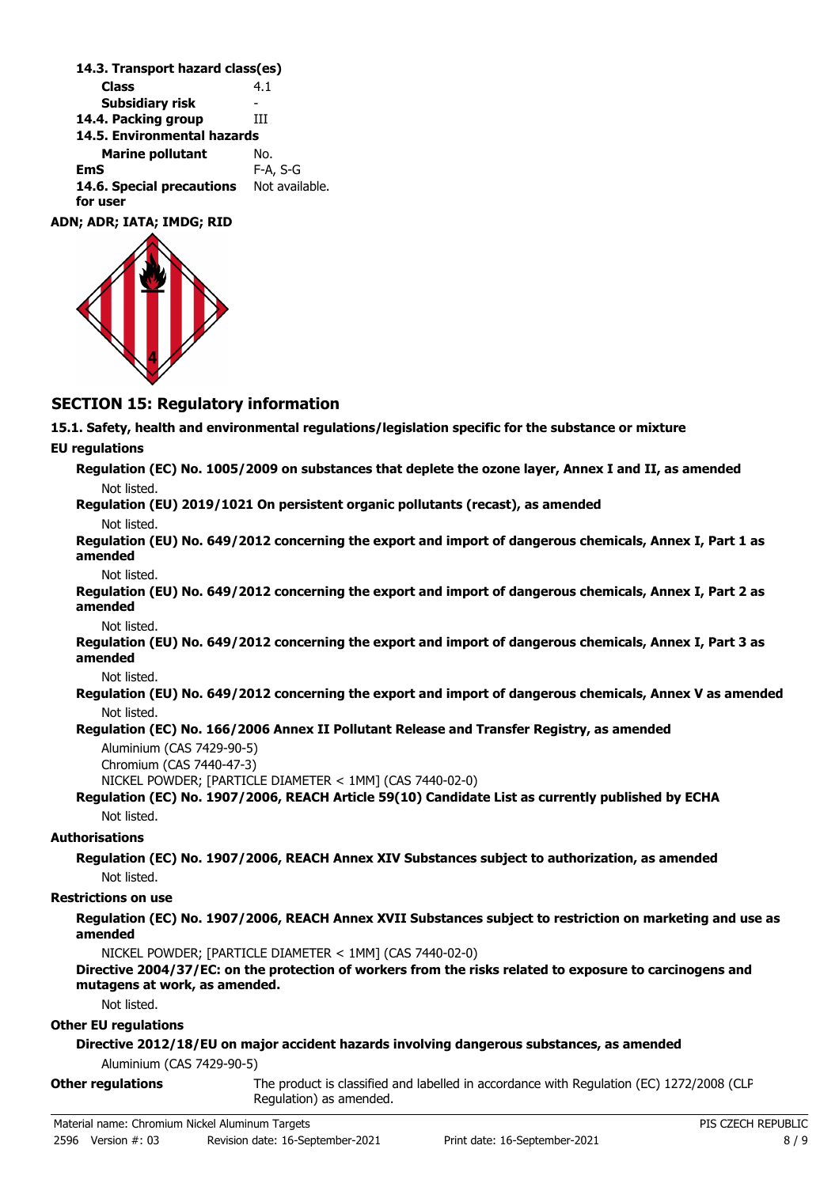| 14.3. Transport hazard class(es) |                |
|----------------------------------|----------------|
| <b>Class</b>                     | 4.1            |
| <b>Subsidiary risk</b>           |                |
| 14.4. Packing group              | ĦТ             |
| 14.5. Environmental hazards      |                |
| <b>Marine pollutant</b>          | No.            |
| EmS                              | F-A, S-G       |
| 14.6. Special precautions        | Not available. |
| for user                         |                |
| <b>ADN: ADR: IATA: IMDG: RID</b> |                |

# **SECTION 15: Regulatory information**

**15.1. Safety, health and environmental regulations/legislation specific for the substance or mixture**

#### **EU regulations**

**Regulation (EC) No. 1005/2009 on substances that deplete the ozone layer, Annex I and II, as amended** Not listed.

**Regulation (EU) 2019/1021 On persistent organic pollutants (recast), as amended**

Not listed.

**Regulation (EU) No. 649/2012 concerning the export and import of dangerous chemicals, Annex I, Part 1 as amended**

Not listed.

**Regulation (EU) No. 649/2012 concerning the export and import of dangerous chemicals, Annex I, Part 2 as amended**

Not listed.

**Regulation (EU) No. 649/2012 concerning the export and import of dangerous chemicals, Annex I, Part 3 as amended**

Not listed.

**Regulation (EU) No. 649/2012 concerning the export and import of dangerous chemicals, Annex V as amended** Not listed.

### **Regulation (EC) No. 166/2006 Annex II Pollutant Release and Transfer Registry, as amended**

Aluminium (CAS 7429-90-5) Chromium (CAS 7440-47-3) NICKEL POWDER; [PARTICLE DIAMETER < 1MM] (CAS 7440-02-0)

#### **Regulation (EC) No. 1907/2006, REACH Article 59(10) Candidate List as currently published by ECHA** Not listed.

**Authorisations**

## **Regulation (EC) No. 1907/2006, REACH Annex XIV Substances subject to authorization, as amended** Not listed.

### **Restrictions on use**

**Regulation (EC) No. 1907/2006, REACH Annex XVII Substances subject to restriction on marketing and use as amended**

NICKEL POWDER; [PARTICLE DIAMETER < 1MM] (CAS 7440-02-0)

**Directive 2004/37/EC: on the protection of workers from the risks related to exposure to carcinogens and mutagens at work, as amended.**

Not listed.

#### **Other EU regulations**

**Directive 2012/18/EU on major accident hazards involving dangerous substances, as amended**

Aluminium (CAS 7429-90-5)

The product is classified and labelled in accordance with Regulation (EC) 1272/2008 (CLP Regulation) as amended. **Other regulations**